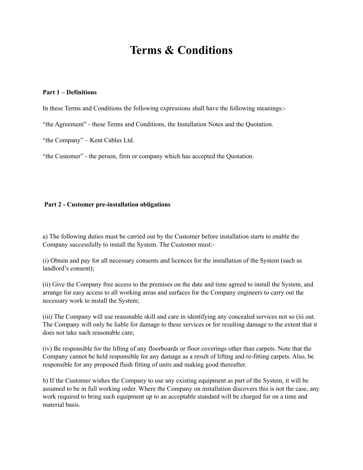# **Terms & Conditions**

#### **Part 1 – Definitions**

In these Terms and Conditions the following expressions shall have the following meanings:-

"the Agreement" - these Terms and Conditions, the Installation Notes and the Quotation.

"the Company" – Kent Cables Ltd.

"the Customer" - the person, firm or company which has accepted the Quotation.

#### **Part 2 - Customer pre-installation obligations**

a) The following duties must be carried out by the Customer before installation starts to enable the Company successfully to install the System. The Customer must:-

(i) Obtain and pay for all necessary consents and licences for the installation of the System (such as landlord's consent);

(ii) Give the Company free access to the premises on the date and time agreed to install the System, and arrange for easy access to all working areas and surfaces for the Company engineers to carry out the necessary work to install the System;

(iii) The Company will use reasonable skill and care in identifying any concealed services not so (iii out. The Company will only be liable for damage to these services or for resulting damage to the extent that it does not take such reasonable care;

(iv) Be responsible for the lifting of any floorboards or floor coverings other than carpets. Note that the Company cannot be held responsible for any damage as a result of lifting and re-fitting carpets. Also, be responsible for any proposed flush fitting of units and making good thereafter.

b) If the Customer wishes the Company to use any existing equipment as part of the System, it will be assumed to be in full working order. Where the Company on installation discovers this is not the case, any work required to bring such equipment up to an acceptable standard will be charged for on a time and material basis.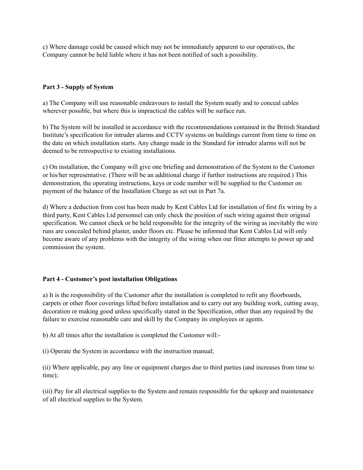c) Where damage could be caused which may not be immediately apparent to our operatives, the Company cannot be held liable where it has not been notified of such a possibility.

## **Part 3 - Supply of System**

a) The Company will use reasonable endeavours to install the System neatly and to conceal cables wherever possible, but where this is impractical the cables will be surface run.

b) The System will be installed in accordance with the recommendations contained in the British Standard Institute's specification for intruder alarms and CCTV systems on buildings current from time to time on the date on which installation starts. Any change made in the Standard for intruder alarms will not be deemed to be retrospective to existing installations.

c) On installation, the Company will give one briefing and demonstration of the System to the Customer or his/her representative. (There will be an additional charge if further instructions are required.) This demonstration, the operating instructions, keys or code number will be supplied to the Customer on payment of the balance of the Installation Charge as set out in Part 7a.

d) Where a deduction from cost has been made by Kent Cables Ltd for installation of first fix wiring by a third party, Kent Cables Ltd personnel can only check the position of such wiring against their original specification. We cannot check or be held responsible for the integrity of the wiring as inevitably the wire runs are concealed behind plaster, under floors etc. Please be informed that Kent Cables Ltd will only become aware of any problems with the integrity of the wiring when our fitter attempts to power up and commission the system.

# **Part 4 - Customer's post installation Obligations**

a) It is the responsibility of the Customer after the installation is completed to refit any floorboards, carpets or other floor coverings lifted before installation and to carry out any building work, cutting away, decoration or making good unless specifically stated in the Specification, other than any required by the failure to exercise reasonable care and skill by the Company its employees or agents.

b) At all times after the installation is completed the Customer will:-

(i) Operate the System in accordance with the instruction manual;

(ii) Where applicable, pay any line or equipment charges due to third parties (and increases from time to time);

(iii) Pay for all electrical supplies to the System and remain responsible for the upkeep and maintenance of all electrical supplies to the System.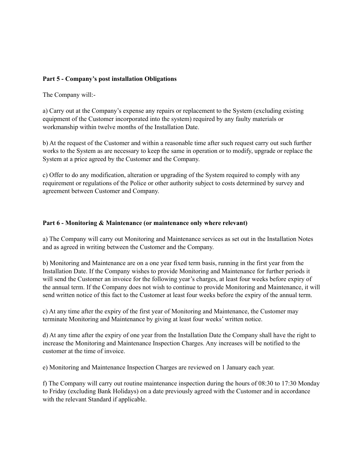## **Part 5 - Company's post installation Obligations**

The Company will:-

a) Carry out at the Company's expense any repairs or replacement to the System (excluding existing equipment of the Customer incorporated into the system) required by any faulty materials or workmanship within twelve months of the Installation Date.

b) At the request of the Customer and within a reasonable time after such request carry out such further works to the System as are necessary to keep the same in operation or to modify, upgrade or replace the System at a price agreed by the Customer and the Company.

c) Offer to do any modification, alteration or upgrading of the System required to comply with any requirement or regulations of the Police or other authority subject to costs determined by survey and agreement between Customer and Company.

#### **Part 6 - Monitoring & Maintenance (or maintenance only where relevant)**

a) The Company will carry out Monitoring and Maintenance services as set out in the Installation Notes and as agreed in writing between the Customer and the Company.

b) Monitoring and Maintenance are on a one year fixed term basis, running in the first year from the Installation Date. If the Company wishes to provide Monitoring and Maintenance for further periods it will send the Customer an invoice for the following year's charges, at least four weeks before expiry of the annual term. If the Company does not wish to continue to provide Monitoring and Maintenance, it will send written notice of this fact to the Customer at least four weeks before the expiry of the annual term.

c) At any time after the expiry of the first year of Monitoring and Maintenance, the Customer may terminate Monitoring and Maintenance by giving at least four weeks' written notice.

d) At any time after the expiry of one year from the Installation Date the Company shall have the right to increase the Monitoring and Maintenance Inspection Charges. Any increases will be notified to the customer at the time of invoice.

e) Monitoring and Maintenance Inspection Charges are reviewed on 1 January each year.

f) The Company will carry out routine maintenance inspection during the hours of 08:30 to 17:30 Monday to Friday (excluding Bank Holidays) on a date previously agreed with the Customer and in accordance with the relevant Standard if applicable.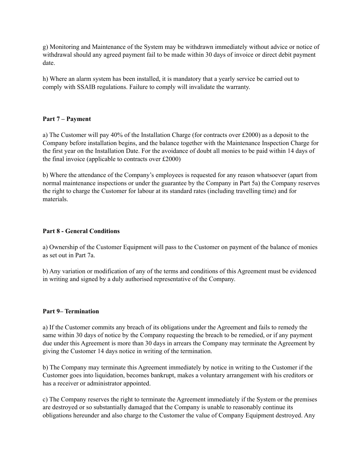g) Monitoring and Maintenance of the System may be withdrawn immediately without advice or notice of withdrawal should any agreed payment fail to be made within 30 days of invoice or direct debit payment date.

h) Where an alarm system has been installed, it is mandatory that a yearly service be carried out to comply with SSAIB regulations. Failure to comply will invalidate the warranty.

## **Part 7 – Payment**

a) The Customer will pay 40% of the Installation Charge (for contracts over £2000) as a deposit to the Company before installation begins, and the balance together with the Maintenance Inspection Charge for the first year on the Installation Date. For the avoidance of doubt all monies to be paid within 14 days of the final invoice (applicable to contracts over £2000)

b) Where the attendance of the Company's employees is requested for any reason whatsoever (apart from normal maintenance inspections or under the guarantee by the Company in Part 5a) the Company reserves the right to charge the Customer for labour at its standard rates (including travelling time) and for materials.

#### **Part 8 - General Conditions**

a) Ownership of the Customer Equipment will pass to the Customer on payment of the balance of monies as set out in Part 7a.

b) Any variation or modification of any of the terms and conditions of this Agreement must be evidenced in writing and signed by a duly authorised representative of the Company.

#### **Part 9– Termination**

a) If the Customer commits any breach of its obligations under the Agreement and fails to remedy the same within 30 days of notice by the Company requesting the breach to be remedied, or if any payment due under this Agreement is more than 30 days in arrears the Company may terminate the Agreement by giving the Customer 14 days notice in writing of the termination.

b) The Company may terminate this Agreement immediately by notice in writing to the Customer if the Customer goes into liquidation, becomes bankrupt, makes a voluntary arrangement with his creditors or has a receiver or administrator appointed.

c) The Company reserves the right to terminate the Agreement immediately if the System or the premises are destroyed or so substantially damaged that the Company is unable to reasonably continue its obligations hereunder and also charge to the Customer the value of Company Equipment destroyed. Any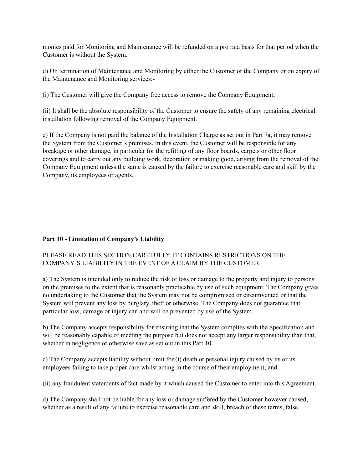monies paid for Monitoring and Maintenance will be refunded on a pro rata basis for that period when the Customer is without the System.

d) On termination of Maintenance and Monitoring by either the Customer or the Company or on expiry of the Maintenance and Monitoring services:-

(i) The Customer will give the Company free access to remove the Company Equipment;

(ii) It shall be the absolute responsibility of the Customer to ensure the safety of any remaining electrical installation following removal of the Company Equipment.

e) If the Company is not paid the balance of the Installation Charge as set out in Part 7a, it may remove the System from the Customer's premises. In this event, the Customer will be responsible for any breakage or other damage, in particular for the refitting of any floor boards, carpets or other floor coverings and to carry out any building work, decoration or making good, arising from the removal of the Company Equipment unless the same is caused by the failure to exercise reasonable care and skill by the Company, its employees or agents.

# **Part 10 - Limitation of Company's Liability**

# PLEASE READ THIS SECTION CAREFULLY. IT CONTAINS RESTRICTIONS ON THE COMPANY'S LIABILITY IN THE EVENT OF A CLAIM BY THE CUSTOMER

a) The System is intended only to reduce the risk of loss or damage to the property and injury to persons on the premises to the extent that is reasonably practicable by use of such equipment. The Company gives no undertaking to the Customer that the System may not be compromised or circumvented or that the System will prevent any loss by burglary, theft or otherwise. The Company does not guarantee that particular loss, damage or injury can and will be prevented by use of the System.

b) The Company accepts responsibility for ensuring that the System complies with the Specification and will be reasonably capable of meeting the purpose but does not accept any larger responsibility than that, whether in negligence or otherwise save as set out in this Part 10.

c) The Company accepts liability without limit for (i) death or personal injury caused by its or its employees failing to take proper care whilst acting in the course of their employment; and

(ii) any fraudulent statements of fact made by it which caused the Customer to enter into this Agreement.

d) The Company shall not be liable for any loss or damage suffered by the Customer however caused, whether as a result of any failure to exercise reasonable care and skill, breach of these terms, false